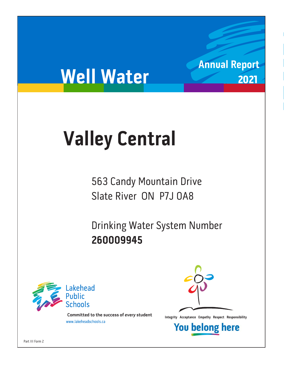# **Well Water**

## **Valley Central**

563 Candy Mountain Drive Slate River ON P7J 0A8

Drinking Water System Number 260009945 **260009945**



**Integrity Acceptance Empathy Respect Responsibility integrity Acceptance Empathy Respect Responsibility Example 1** 



**Annual Report**

2021

**You belong here**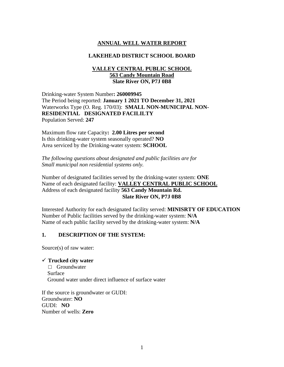### **ANNUAL WELL WATER REPORT**

#### **LAKEHEAD DISTRICT SCHOOL BOARD**

#### **VALLEY CENTRAL PUBLIC SCHOOL 563 Candy Mountain Road Slate River ON, P7J 0B8**

Drinking-water System Number**: 260009945** The Period being reported: **January 1 2021 TO December 31, 2021** Waterworks Type (O. Reg. 170/03): **SMALL NON-MUNICIPAL NON-RESIDENTIAL DESIGNATED FACILILTY**  Population Served: **247**

Maximum flow rate Capacity**: 2.00 Litres per second** Is this drinking-water system seasonally operated? **NO** Area serviced by the Drinking-water system: **SCHOOL**

*The following questions about designated and public facilities are for Small municipal non residential systems only.*

Number of designated facilities served by the drinking-water system: **ONE** Name of each designated facility: **VALLEY CENTRAL PUBLIC SCHOOL** Address of each designated facility **563 Candy Mountain Rd. Slate River ON, P7J 0B8**

Interested Authority for each designated facility served: **MINISRTY OF EDUCATION** Number of Public facilities served by the drinking-water system: **N/A** Name of each public facility served by the drinking-water system: **N/A**

#### **1. DESCRIPTION OF THE SYSTEM:**

Source(s) of raw water:

#### ✓ **Trucked city water**

□ Groundwater Surface Ground water under direct influence of surface water

If the source is groundwater or GUDI: Groundwater: **NO** GUDI: **NO** Number of wells: **Zero**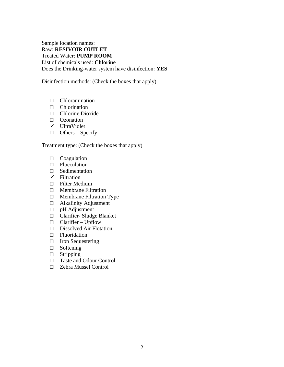Sample location names: Raw: **RESIVOIR OUTLET**  Treated Water: **PUMP ROOM**  List of chemicals used: **Chlorine** Does the Drinking-water system have disinfection: **YES**

Disinfection methods: (Check the boxes that apply)

- □ Chloramination
- □ Chlorination
- □ Chlorine Dioxide
- □ Ozonation
- ✓ UltraViolet
- $\Box$  Others Specify

Treatment type: (Check the boxes that apply)

- □ Coagulation
- □ Flocculation
- □ Sedimentation
- $\checkmark$  Filtration
- □ Filter Medium
- □ Membrane Filtration
- □ Membrane Filtration Type
- □ Alkalinity Adjustment
- □ pH Adjustment
- □ Clarifier- Sludge Blanket
- $\Box$  Clarifier Upflow
- □ Dissolved Air Flotation
- □ Fluoridation
- □ Iron Sequestering
- □ Softening
- □ Stripping
- □ Taste and Odour Control
- □ Zebra Mussel Control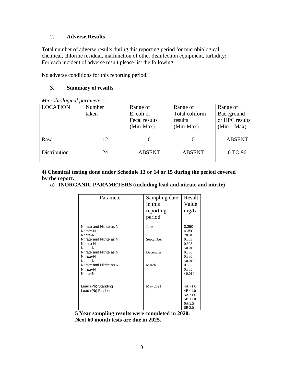#### 2. **Adverse Results**

Total number of adverse results during this reporting period for microbiological, chemical, chlorine residual, malfunction of other disinfection equipment, turbidity: For each incident of adverse result please list the following:

No adverse conditions for this reporting period.

#### **3. Summary of results**

| <i>murophorogical parameters.</i> |        |               |                |                |  |
|-----------------------------------|--------|---------------|----------------|----------------|--|
| <b>LOCATION</b>                   | Number | Range of      | Range of       | Range of       |  |
|                                   | taken  | E. coli or    | Total coliform | Background     |  |
|                                   |        | Fecal results | results        | or HPC results |  |
|                                   |        | $(Min-Max)$   | $(Min-Max)$    | $(Min-Max)$    |  |
|                                   |        |               |                |                |  |
| Raw                               | 12     |               |                | <b>ABSENT</b>  |  |
|                                   |        |               |                |                |  |
| Distribution                      | 24     | <b>ABSENT</b> | <b>ABSENT</b>  | 0 TO 96        |  |
|                                   |        |               |                |                |  |

*Microbiological parameters:* 

**4) Chemical testing done under Schedule 13 or 14 or 15 during the period covered by the report.**

**a) INORGANIC PARAMETERS (including lead and nitrate and nitrite)** 

| Parameter                                          | Sampling date<br>in this<br>reporting<br>period | Result<br>Value<br>mg/L                                          |
|----------------------------------------------------|-------------------------------------------------|------------------------------------------------------------------|
| Nitrate and Nitrite as N<br>Nitrate-N<br>Nitrite-N | June                                            | 0.350<br>0.350<br><0.010                                         |
| Nitrate and Nitrite as N<br>Nitrate-N<br>Nitrite-N | September                                       | 0.303<br>0.303<br><0.010                                         |
| Nitrate and Nitrite as N<br>Nitrate-N<br>Nitrite-N | December                                        | 0.380<br>0.380<br><0.010                                         |
| Nitrate and Nitrite as N<br>Nitrate-N<br>Nitrite-N | March                                           | 0.365<br>0.365<br><0.010                                         |
| Lead (Pb) Standing<br>Lead (Pb) Flushed            | May 2021                                        | 4A < 1.0<br>4B < 1.0<br>5A < 1.0<br>5B < 1.0<br>6A 5.5<br>6B 2.0 |

**5 Year sampling results were completed in 2020. Next 60 month tests are due in 2025.**